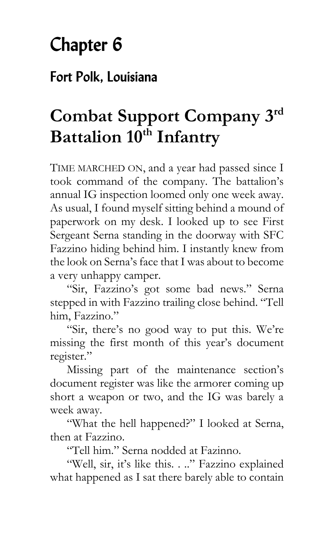## Chapter 6

## Fort Polk, Louisiana

## **Combat Support Company 3rd Battalion 10th Infantry**

TIME MARCHED ON, and a year had passed since I took command of the company. The battalion's annual IG inspection loomed only one week away. As usual, I found myself sitting behind a mound of paperwork on my desk. I looked up to see First Sergeant Serna standing in the doorway with SFC Fazzino hiding behind him. I instantly knew from the look on Serna's face that I was about to become a very unhappy camper.

"Sir, Fazzino's got some bad news." Serna stepped in with Fazzino trailing close behind. "Tell him, Fazzino."

"Sir, there's no good way to put this. We're missing the first month of this year's document register."

Missing part of the maintenance section's document register was like the armorer coming up short a weapon or two, and the IG was barely a week away.

"What the hell happened?" I looked at Serna, then at Fazzino.

"Tell him." Serna nodded at Fazinno.

"Well, sir, it's like this. . .." Fazzino explained what happened as I sat there barely able to contain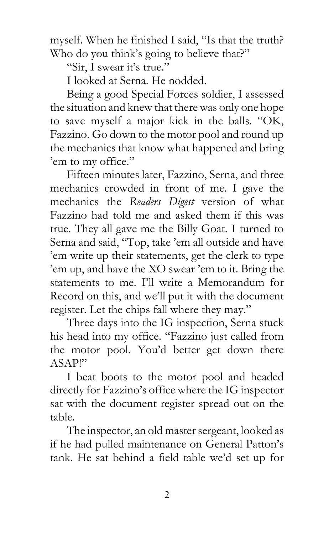myself. When he finished I said, "Is that the truth? Who do you think's going to believe that?"

"Sir, I swear it's true."

I looked at Serna. He nodded.

Being a good Special Forces soldier, I assessed the situation and knew that there was only one hope to save myself a major kick in the balls. "OK, Fazzino. Go down to the motor pool and round up the mechanics that know what happened and bring 'em to my office."

Fifteen minutes later, Fazzino, Serna, and three mechanics crowded in front of me. I gave the mechanics the *Readers Digest* version of what Fazzino had told me and asked them if this was true. They all gave me the Billy Goat. I turned to Serna and said, "Top, take 'em all outside and have 'em write up their statements, get the clerk to type 'em up, and have the XO swear 'em to it. Bring the statements to me. I'll write a Memorandum for Record on this, and we'll put it with the document register. Let the chips fall where they may."

Three days into the IG inspection, Serna stuck his head into my office. "Fazzino just called from the motor pool. You'd better get down there ASAP!"

I beat boots to the motor pool and headed directly for Fazzino's office where the IG inspector sat with the document register spread out on the table.

The inspector, an old master sergeant, looked as if he had pulled maintenance on General Patton's tank. He sat behind a field table we'd set up for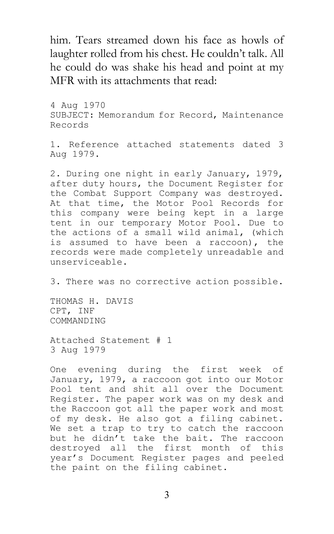him. Tears streamed down his face as howls of laughter rolled from his chest. He couldn't talk. All he could do was shake his head and point at my MFR with its attachments that read:

4 Aug 1970 SUBJECT: Memorandum for Record, Maintenance Records

1. Reference attached statements dated 3 Aug 1979.

2. During one night in early January, 1979, after duty hours, the Document Register for the Combat Support Company was destroyed. At that time, the Motor Pool Records for this company were being kept in a large tent in our temporary Motor Pool. Due to the actions of a small wild animal, (which is assumed to have been a raccoon), the records were made completely unreadable and unserviceable.

3. There was no corrective action possible.

THOMAS H. DAVIS CPT, INF COMMANDING

Attached Statement # 1 3 Aug 1979

One evening during the first week of January, 1979, a raccoon got into our Motor Pool tent and shit all over the Document Register. The paper work was on my desk and the Raccoon got all the paper work and most of my desk. He also got a filing cabinet. We set a trap to try to catch the raccoon but he didn't take the bait. The raccoon destroyed all the first month of this year's Document Register pages and peeled the paint on the filing cabinet.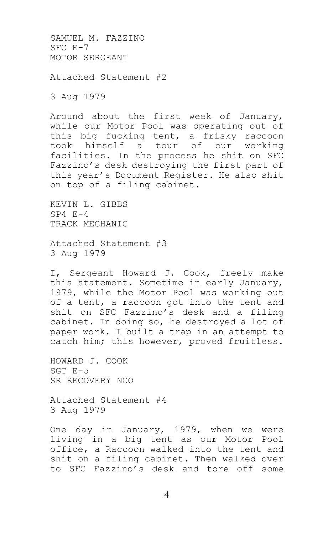SAMUEL M. FAZZINO SFC E-7 MOTOR SERGEANT

Attached Statement #2

3 Aug 1979

Around about the first week of January, while our Motor Pool was operating out of this big fucking tent, a frisky raccoon took himself a tour of our working facilities. In the process he shit on SFC Fazzino's desk destroying the first part of this year's Document Register. He also shit on top of a filing cabinet.

KEVIN L. GIBBS SP4 E-4 TRACK MECHANIC

Attached Statement #3 3 Aug 1979

I, Sergeant Howard J. Cook, freely make this statement. Sometime in early January, 1979, while the Motor Pool was working out of a tent, a raccoon got into the tent and shit on SFC Fazzino's desk and a filing cabinet. In doing so, he destroyed a lot of paper work. I built a trap in an attempt to catch him; this however, proved fruitless.

HOWARD J. COOK SGT E-5 SR RECOVERY NCO

Attached Statement #4 3 Aug 1979

One day in January, 1979, when we were living in a big tent as our Motor Pool office, a Raccoon walked into the tent and shit on a filing cabinet. Then walked over to SFC Fazzino's desk and tore off some